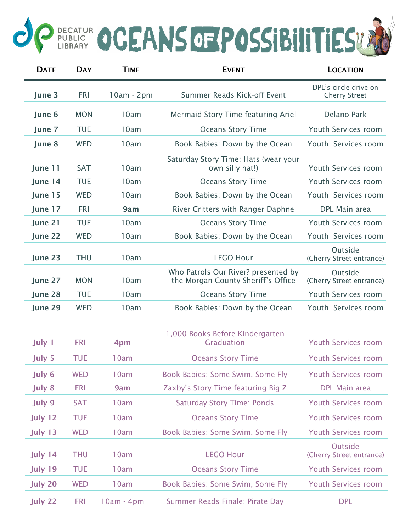## OP PUBLIC OCEANS OF POSSIBILITIES UND

| <b>DATE</b>    | <b>DAY</b> | <b>TIME</b>  | <b>EVENT</b>                                                              | <b>LOCATION</b>                               |
|----------------|------------|--------------|---------------------------------------------------------------------------|-----------------------------------------------|
| June 3         | <b>FRI</b> | $10am - 2pm$ | Summer Reads Kick-off Event                                               | DPL's circle drive on<br><b>Cherry Street</b> |
| June 6         | <b>MON</b> | 10am         | Mermaid Story Time featuring Ariel                                        | Delano Park                                   |
| June 7         | <b>TUE</b> | 10am         | <b>Oceans Story Time</b>                                                  | Youth Services room                           |
| June 8         | <b>WED</b> | 10am         | Book Babies: Down by the Ocean                                            | Youth Services room                           |
| June 11        | <b>SAT</b> | 10am         | Saturday Story Time: Hats (wear your<br>own silly hat!)                   | Youth Services room                           |
| June 14        | <b>TUE</b> | 10am         | <b>Oceans Story Time</b>                                                  | Youth Services room                           |
| June 15        | <b>WED</b> | 10am         | Book Babies: Down by the Ocean                                            | Youth Services room                           |
| June 17        | <b>FRI</b> | 9am          | River Critters with Ranger Daphne                                         | DPL Main area                                 |
| June 21        | <b>TUE</b> | 10am         | <b>Oceans Story Time</b>                                                  | Youth Services room                           |
| June 22        | <b>WED</b> | 10am         | Book Babies: Down by the Ocean                                            | Youth Services room                           |
| June 23        | <b>THU</b> | 10am         | <b>LEGO Hour</b>                                                          | Outside<br>(Cherry Street entrance)           |
| June 27        | <b>MON</b> | 10am         | Who Patrols Our River? presented by<br>the Morgan County Sheriff's Office | Outside<br>(Cherry Street entrance)           |
| June 28        | <b>TUE</b> | 10am         | <b>Oceans Story Time</b>                                                  | Youth Services room                           |
| June 29        | <b>WED</b> | 10am         | Book Babies: Down by the Ocean                                            | Youth Services room                           |
| July 1         | <b>FRI</b> | 4pm          | 1,000 Books Before Kindergarten<br><b>Graduation</b>                      | <b>Youth Services room</b>                    |
| July 5         | <b>TUE</b> | 10am         | <b>Oceans Story Time</b>                                                  | <b>Youth Services room</b>                    |
| July 6         | <b>WED</b> | 10am         | Book Babies: Some Swim, Some Fly                                          | <b>Youth Services room</b>                    |
| July 8         | <b>FRI</b> | 9am          | Zaxby's Story Time featuring Big Z                                        | <b>DPL Main area</b>                          |
| July 9         | <b>SAT</b> | 10am         | <b>Saturday Story Time: Ponds</b>                                         | <b>Youth Services room</b>                    |
| July 12        | <b>TUE</b> | 10am         | <b>Oceans Story Time</b>                                                  | <b>Youth Services room</b>                    |
| July 13        | <b>WED</b> | 10am         | Book Babies: Some Swim, Some Fly                                          | <b>Youth Services room</b>                    |
| July 14        | <b>THU</b> | 10am         | <b>LEGO Hour</b>                                                          | Outside<br>(Cherry Street entrance)           |
| July 19        | <b>TUE</b> | 10am         | <b>Oceans Story Time</b>                                                  | <b>Youth Services room</b>                    |
| <b>July 20</b> | <b>WED</b> | 10am         | Book Babies: Some Swim, Some Fly                                          | <b>Youth Services room</b>                    |
| July 22        | <b>FRI</b> | $10am - 4pm$ | Summer Reads Finale: Pirate Day                                           | <b>DPL</b>                                    |